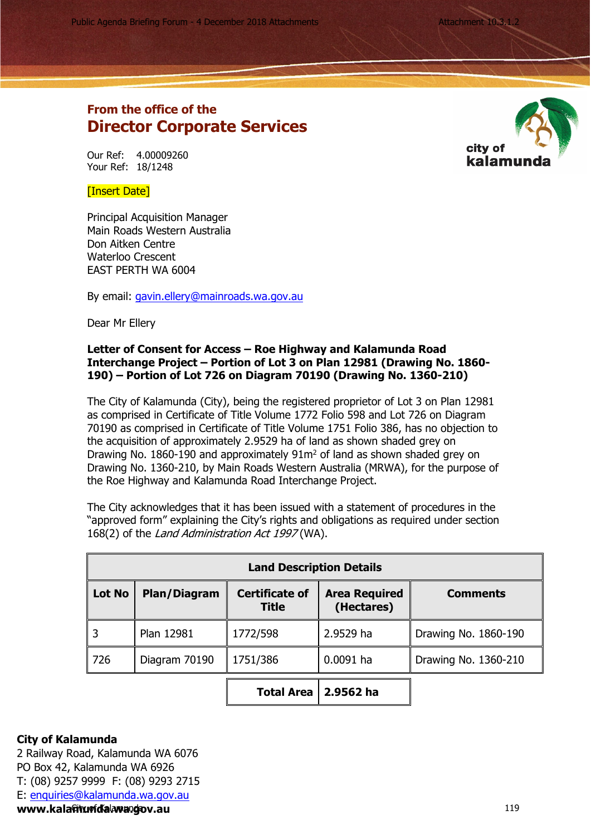Public Agenda Briefing Forum - 4 December 2018 Attachments Attachment 10.3.1.2.

## **From the office of the Director Corporate Services**

Our Ref: 4.00009260 Your Ref: 18/1248



[Insert Date]

Principal Acquisition Manager Main Roads Western Australia Don Aitken Centre Waterloo Crescent EAST PERTH WA 6004

By email: [gavin.ellery@mainroads.wa.gov.au](mailto:gavin.ellery@mainroads.wa.gov.au)

Dear Mr Ellery

## **Letter of Consent for Access – Roe Highway and Kalamunda Road Interchange Project – Portion of Lot 3 on Plan 12981 (Drawing No. 1860- 190) – Portion of Lot 726 on Diagram 70190 (Drawing No. 1360-210)**

The City of Kalamunda (City), being the registered proprietor of Lot 3 on Plan 12981 as comprised in Certificate of Title Volume 1772 Folio 598 and Lot 726 on Diagram 70190 as comprised in Certificate of Title Volume 1751 Folio 386, has no objection to the acquisition of approximately 2.9529 ha of land as shown shaded grey on Drawing No. 1860-190 and approximately  $91m^2$  of land as shown shaded grey on Drawing No. 1360-210, by Main Roads Western Australia (MRWA), for the purpose of the Roe Highway and Kalamunda Road Interchange Project.

The City acknowledges that it has been issued with a statement of procedures in the "approved form" explaining the City's rights and obligations as required under section 168(2) of the *Land Administration Act 1997* (WA).

| <b>Land Description Details</b> |               |                                       |                                    |                      |
|---------------------------------|---------------|---------------------------------------|------------------------------------|----------------------|
| <b>Lot No</b>                   | Plan/Diagram  | <b>Certificate of</b><br><b>Title</b> | <b>Area Required</b><br>(Hectares) | <b>Comments</b>      |
|                                 | Plan 12981    | 1772/598                              | 2.9529 ha                          | Drawing No. 1860-190 |
| 726                             | Diagram 70190 | 1751/386                              | $0.0091$ ha                        | Drawing No. 1360-210 |
|                                 |               | <b>Total Area</b>                     | 2.9562 ha                          |                      |

## **City of Kalamunda**

2 Railway Road, Kalamunda WA 6076 PO Box 42, Kalamunda WA 6926 T: (08) 9257 9999 F: (08) 9293 2715 E: [enquiries@kalamunda.wa.gov.au](mailto:enquiries@kalamunda.wa.gov.au)  **www.kala&w@fd%alawangov.au**